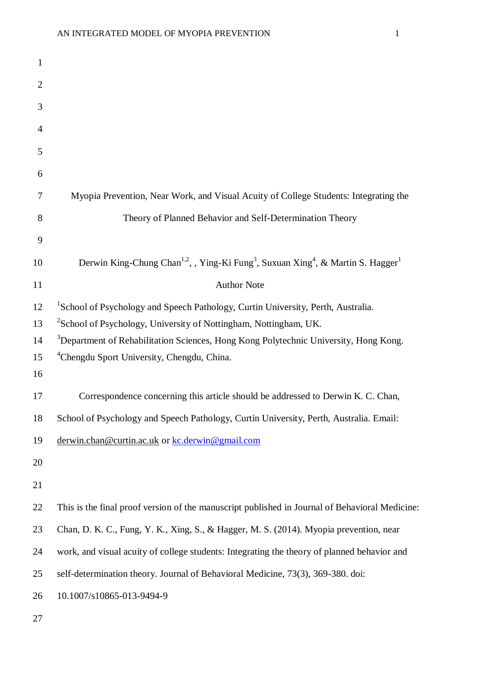| 1                          |                                                                                                                                                                                                                                                                                                                                            |
|----------------------------|--------------------------------------------------------------------------------------------------------------------------------------------------------------------------------------------------------------------------------------------------------------------------------------------------------------------------------------------|
| $\overline{2}$             |                                                                                                                                                                                                                                                                                                                                            |
| 3                          |                                                                                                                                                                                                                                                                                                                                            |
| 4                          |                                                                                                                                                                                                                                                                                                                                            |
| 5                          |                                                                                                                                                                                                                                                                                                                                            |
| 6                          |                                                                                                                                                                                                                                                                                                                                            |
| 7                          | Myopia Prevention, Near Work, and Visual Acuity of College Students: Integrating the                                                                                                                                                                                                                                                       |
| 8                          | Theory of Planned Behavior and Self-Determination Theory                                                                                                                                                                                                                                                                                   |
| 9                          |                                                                                                                                                                                                                                                                                                                                            |
| 10                         | Derwin King-Chung Chan <sup>1,2</sup> , Ying-Ki Fung <sup>3</sup> , Suxuan Xing <sup>4</sup> , & Martin S. Hagger <sup>1</sup>                                                                                                                                                                                                             |
| 11                         | <b>Author Note</b>                                                                                                                                                                                                                                                                                                                         |
| 12<br>13<br>14<br>15<br>16 | <sup>1</sup> School of Psychology and Speech Pathology, Curtin University, Perth, Australia.<br><sup>2</sup> School of Psychology, University of Nottingham, Nottingham, UK.<br><sup>3</sup> Department of Rehabilitation Sciences, Hong Kong Polytechnic University, Hong Kong.<br><sup>4</sup> Chengdu Sport University, Chengdu, China. |
| 17                         | Correspondence concerning this article should be addressed to Derwin K. C. Chan,                                                                                                                                                                                                                                                           |
| 18                         | School of Psychology and Speech Pathology, Curtin University, Perth, Australia. Email:                                                                                                                                                                                                                                                     |
| 19                         | derwin.chan@curtin.ac.uk or kc.derwin@gmail.com                                                                                                                                                                                                                                                                                            |
| 20                         |                                                                                                                                                                                                                                                                                                                                            |
| 21                         |                                                                                                                                                                                                                                                                                                                                            |
| 22                         | This is the final proof version of the manuscript published in Journal of Behavioral Medicine:                                                                                                                                                                                                                                             |
| 23                         | Chan, D. K. C., Fung, Y. K., Xing, S., & Hagger, M. S. (2014). Myopia prevention, near                                                                                                                                                                                                                                                     |
| 24                         | work, and visual acuity of college students: Integrating the theory of planned behavior and                                                                                                                                                                                                                                                |
| 25                         | self-determination theory. Journal of Behavioral Medicine, 73(3), 369-380. doi:                                                                                                                                                                                                                                                            |
| 26                         | 10.1007/s10865-013-9494-9                                                                                                                                                                                                                                                                                                                  |
| 27                         |                                                                                                                                                                                                                                                                                                                                            |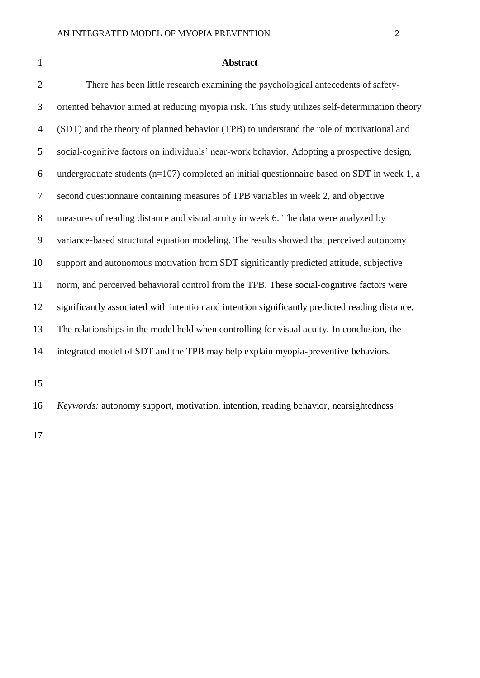## **Abstract**

 There has been little research examining the psychological antecedents of safety- oriented behavior aimed at reducing myopia risk. This study utilizes self-determination theory (SDT) and the theory of planned behavior (TPB) to understand the role of motivational and social-cognitive factors on individuals' near-work behavior. Adopting a prospective design, undergraduate students (n=107) completed an initial questionnaire based on SDT in week 1, a second questionnaire containing measures of TPB variables in week 2, and objective measures of reading distance and visual acuity in week 6. The data were analyzed by variance-based structural equation modeling. The results showed that perceived autonomy support and autonomous motivation from SDT significantly predicted attitude, subjective norm, and perceived behavioral control from the TPB. These social-cognitive factors were significantly associated with intention and intention significantly predicted reading distance. The relationships in the model held when controlling for visual acuity. In conclusion, the integrated model of SDT and the TPB may help explain myopia-preventive behaviors.

*Keywords:* autonomy support, motivation, intention, reading behavior, nearsightedness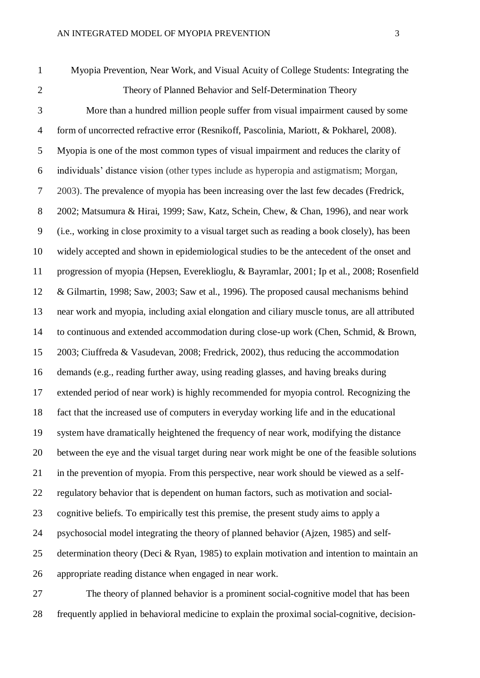Myopia Prevention, Near Work, and Visual Acuity of College Students: Integrating the Theory of Planned Behavior and Self-Determination Theory

 More than a hundred million people suffer from visual impairment caused by some form of uncorrected refractive error [\(Resnikoff, Pascolinia, Mariott, & Pokharel, 2008\)](#page-24-0). Myopia is one of the most common types of visual impairment and reduces the clarity of individuals' distance vision [\(other types include as hyperopia and astigmatism; Morgan,](#page-23-0)  [2003\)](#page-23-0). The prevalence of myopia has been increasing over the last few decades [\(Fredrick,](#page-21-0)  [2002;](#page-21-0) [Matsumura & Hirai, 1999;](#page-23-1) [Saw, Katz, Schein, Chew, & Chan, 1996\)](#page-24-1), and near work (i.e., working in close proximity to a visual target such as reading a book closely), has been widely accepted and shown in epidemiological studies to be the antecedent of the onset and progression of myopia [\(Hepsen, Evereklioglu, & Bayramlar, 2001;](#page-22-0) [Ip et al., 2008;](#page-22-1) [Rosenfield](#page-24-2)  [& Gilmartin, 1998;](#page-24-2) [Saw, 2003;](#page-24-3) [Saw et al., 1996\)](#page-24-1). The proposed causal mechanisms behind near work and myopia, including axial elongation and ciliary muscle tonus, are all attributed to continuous and extended accommodation during close-up work [\(Chen, Schmid, & Brown,](#page-21-1)  [2003;](#page-21-1) [Ciuffreda & Vasudevan, 2008;](#page-21-2) [Fredrick, 2002\)](#page-21-0), thus reducing the accommodation demands (e.g., reading further away, using reading glasses, and having breaks during extended period of near work) is highly recommended for myopia control. Recognizing the fact that the increased use of computers in everyday working life and in the educational system have dramatically heightened the frequency of near work, modifying the distance between the eye and the visual target during near work might be one of the feasible solutions in the prevention of myopia. From this perspective, near work should be viewed as a self- regulatory behavior that is dependent on human factors, such as motivation and social- cognitive beliefs. To empirically test this premise, the present study aims to apply a psychosocial model integrating the theory of planned behavior [\(Ajzen, 1985\)](#page-20-0) and self- determination theory [\(Deci & Ryan, 1985\)](#page-21-3) to explain motivation and intention to maintain an appropriate reading distance when engaged in near work.

 The theory of planned behavior is a prominent social-cognitive model that has been frequently applied in behavioral medicine to explain the proximal social-cognitive, decision-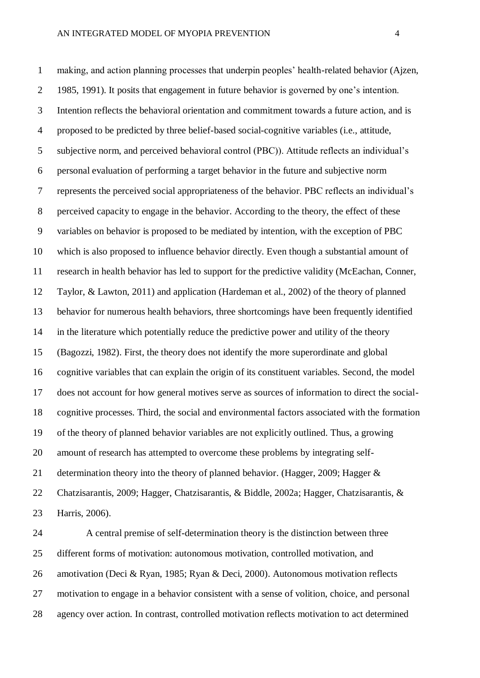making, and action planning processes that underpin peoples' health-related behavior [\(Ajzen,](#page-20-0)  [1985,](#page-20-0) [1991\)](#page-20-1). It posits that engagement in future behavior is governed by one's intention. Intention reflects the behavioral orientation and commitment towards a future action, and is proposed to be predicted by three belief-based social-cognitive variables (i.e., attitude, subjective norm, and perceived behavioral control (PBC)). Attitude reflects an individual's personal evaluation of performing a target behavior in the future and subjective norm represents the perceived social appropriateness of the behavior. PBC reflects an individual's perceived capacity to engage in the behavior. According to the theory, the effect of these variables on behavior is proposed to be mediated by intention, with the exception of PBC which is also proposed to influence behavior directly. Even though a substantial amount of research in health behavior has led to support for the predictive validity [\(McEachan, Conner,](#page-23-2)  [Taylor, & Lawton, 2011\)](#page-23-2) and application [\(Hardeman et al., 2002\)](#page-22-2) of the theory of planned behavior for numerous health behaviors, three shortcomings have been frequently identified in the literature which potentially reduce the predictive power and utility of the theory [\(Bagozzi, 1982\)](#page-20-2). First, the theory does not identify the more superordinate and global cognitive variables that can explain the origin of its constituent variables. Second, the model does not account for how general motives serve as sources of information to direct the social- cognitive processes. Third, the social and environmental factors associated with the formation of the theory of planned behavior variables are not explicitly outlined. Thus, a growing amount of research has attempted to overcome these problems by integrating self- determination theory into the theory of planned behavior. [\(Hagger, 2009;](#page-21-4) [Hagger &](#page-21-5)  [Chatzisarantis, 2009;](#page-21-5) [Hagger, Chatzisarantis, & Biddle, 2002a;](#page-21-6) [Hagger, Chatzisarantis, &](#page-22-3)  [Harris, 2006\)](#page-22-3).

 A central premise of self-determination theory is the distinction between three different forms of motivation: autonomous motivation, controlled motivation, and amotivation [\(Deci & Ryan, 1985;](#page-21-3) [Ryan & Deci, 2000\)](#page-24-4). Autonomous motivation reflects motivation to engage in a behavior consistent with a sense of volition, choice, and personal agency over action. In contrast, controlled motivation reflects motivation to act determined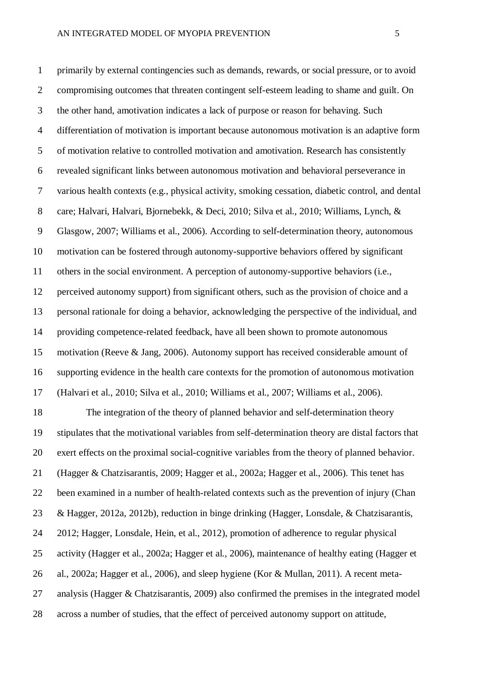primarily by external contingencies such as demands, rewards, or social pressure, or to avoid compromising outcomes that threaten contingent self-esteem leading to shame and guilt. On the other hand, amotivation indicates a lack of purpose or reason for behaving. Such differentiation of motivation is important because autonomous motivation is an adaptive form of motivation relative to controlled motivation and amotivation. Research has consistently revealed significant links between autonomous motivation and behavioral perseverance in various health contexts (e.g., physical activity, smoking cessation, diabetic control, and dental care; [Halvari, Halvari, Bjornebekk, & Deci, 2010;](#page-22-4) [Silva et al., 2010;](#page-24-5) [Williams, Lynch, &](#page-25-0)  [Glasgow, 2007;](#page-25-0) [Williams et al., 2006\)](#page-25-1). According to self-determination theory, autonomous motivation can be fostered through autonomy-supportive behaviors offered by significant others in the social environment. A perception of autonomy-supportive behaviors (i.e., perceived autonomy support) from significant others, such as the provision of choice and a personal rationale for doing a behavior, acknowledging the perspective of the individual, and providing competence-related feedback, have all been shown to promote autonomous motivation [\(Reeve & Jang, 2006\)](#page-24-6). Autonomy support has received considerable amount of supporting evidence in the health care contexts for the promotion of autonomous motivation [\(Halvari et al., 2010;](#page-22-4) [Silva et al., 2010;](#page-24-5) [Williams et al., 2007;](#page-25-0) [Williams et al., 2006\)](#page-25-1).

 The integration of the theory of planned behavior and self-determination theory stipulates that the motivational variables from self-determination theory are distal factors that exert effects on the proximal social-cognitive variables from the theory of planned behavior. [\(Hagger & Chatzisarantis, 2009;](#page-21-5) [Hagger et al., 2002a;](#page-21-6) [Hagger et al., 2006\)](#page-22-3). This tenet has been examined in a number of health-related contexts such as the prevention of injury [\(Chan](#page-20-3)  [& Hagger, 2012a,](#page-20-3) [2012b\)](#page-20-4), reduction in binge drinking [\(Hagger, Lonsdale, & Chatzisarantis,](#page-22-5)  [2012;](#page-22-5) [Hagger, Lonsdale, Hein, et al., 2012\)](#page-22-6), promotion of adherence to regular physical activity [\(Hagger et al., 2002a;](#page-21-6) [Hagger et al., 2006\)](#page-22-3), maintenance of healthy eating [\(Hagger et](#page-21-6)  [al., 2002a;](#page-21-6) [Hagger et al., 2006\)](#page-22-3), and sleep hygiene [\(Kor & Mullan, 2011\)](#page-23-3). A recent meta- analysis [\(Hagger & Chatzisarantis, 2009\)](#page-21-5) also confirmed the premises in the integrated model across a number of studies, that the effect of perceived autonomy support on attitude,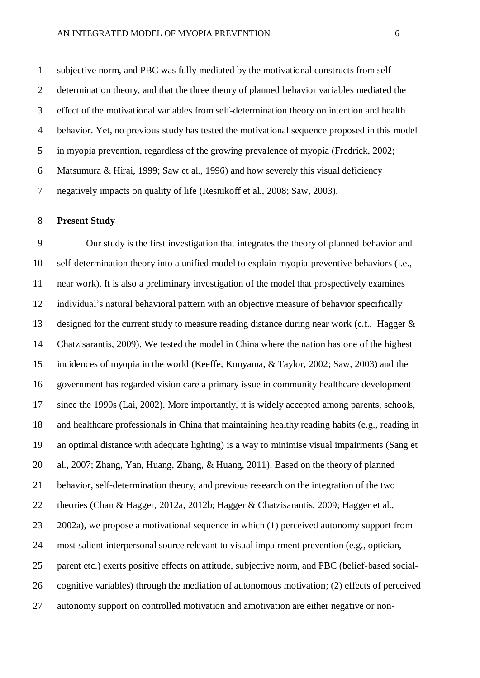subjective norm, and PBC was fully mediated by the motivational constructs from self- determination theory, and that the three theory of planned behavior variables mediated the effect of the motivational variables from self-determination theory on intention and health behavior. Yet, no previous study has tested the motivational sequence proposed in this model in myopia prevention, regardless of the growing prevalence of myopia [\(Fredrick, 2002;](#page-21-0) [Matsumura & Hirai, 1999;](#page-23-1) [Saw et al., 1996\)](#page-24-1) and how severely this visual deficiency negatively impacts on quality of life [\(Resnikoff et al., 2008;](#page-24-0) [Saw, 2003\)](#page-24-3).

#### **Present Study**

 Our study is the first investigation that integrates the theory of planned behavior and self-determination theory into a unified model to explain myopia-preventive behaviors (i.e., near work). It is also a preliminary investigation of the model that prospectively examines individual's natural behavioral pattern with an objective measure of behavior specifically designed for the current study to measure reading distance during near work [\(c.f., Hagger &](#page-21-5)  [Chatzisarantis, 2009\)](#page-21-5). We tested the model in China where the nation has one of the highest incidences of myopia in the world [\(Keeffe, Konyama, & Taylor, 2002;](#page-23-4) [Saw, 2003\)](#page-24-3) and the government has regarded vision care a primary issue in community healthcare development since the 1990s [\(Lai, 2002\)](#page-23-5). More importantly, it is widely accepted among parents, schools, and healthcare professionals in China that maintaining healthy reading habits (e.g., reading in an optimal distance with adequate lighting) is a way to minimise visual impairments [\(Sang et](#page-24-7)  [al., 2007;](#page-24-7) [Zhang, Yan, Huang, Zhang, & Huang, 2011\)](#page-25-2). Based on the theory of planned behavior, self-determination theory, and previous research on the integration of the two theories [\(Chan & Hagger, 2012a,](#page-20-3) [2012b;](#page-20-4) [Hagger & Chatzisarantis, 2009;](#page-21-5) [Hagger et al.,](#page-21-6)  [2002a\)](#page-21-6), we propose a motivational sequence in which (1) perceived autonomy support from most salient interpersonal source relevant to visual impairment prevention (e.g., optician, parent etc.) exerts positive effects on attitude, subjective norm, and PBC (belief-based social- cognitive variables) through the mediation of autonomous motivation; (2) effects of perceived autonomy support on controlled motivation and amotivation are either negative or non-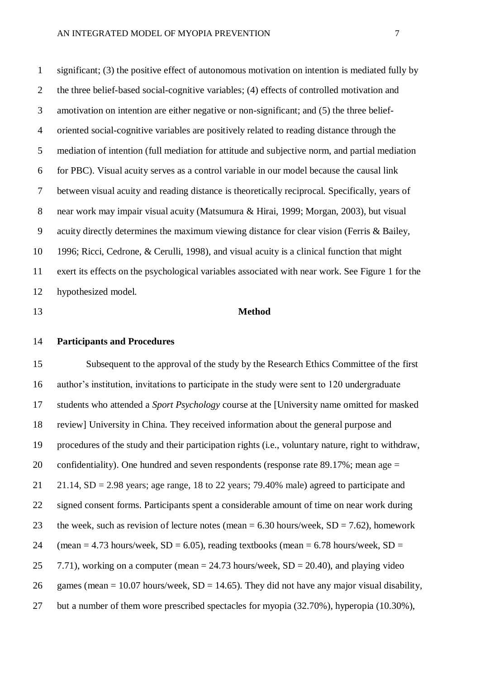significant; (3) the positive effect of autonomous motivation on intention is mediated fully by 2 the three belief-based social-cognitive variables; (4) effects of controlled motivation and amotivation on intention are either negative or non-significant; and (5) the three belief- oriented social-cognitive variables are positively related to reading distance through the mediation of intention (full mediation for attitude and subjective norm, and partial mediation for PBC). Visual acuity serves as a control variable in our model because the causal link between visual acuity and reading distance is theoretically reciprocal. Specifically, years of near work may impair visual acuity [\(Matsumura & Hirai, 1999;](#page-23-1) [Morgan, 2003\)](#page-23-0), but visual acuity directly determines the maximum viewing distance for clear vision [\(Ferris & Bailey,](#page-21-7)  [1996;](#page-21-7) [Ricci, Cedrone, & Cerulli, 1998\)](#page-24-8), and visual acuity is a clinical function that might exert its effects on the psychological variables associated with near work. See Figure 1 for the hypothesized model.

### **Method**

#### **Participants and Procedures**

 Subsequent to the approval of the study by the Research Ethics Committee of the first author's institution, invitations to participate in the study were sent to 120 undergraduate students who attended a *Sport Psychology* course at the [University name omitted for masked review] University in China. They received information about the general purpose and procedures of the study and their participation rights (i.e., voluntary nature, right to withdraw, confidentiality). One hundred and seven respondents (response rate 89.17%; mean age = 21 21.14,  $SD = 2.98$  years; age range, 18 to 22 years; 79.40% male) agreed to participate and signed consent forms. Participants spent a considerable amount of time on near work during 23 the week, such as revision of lecture notes (mean  $= 6.30$  hours/week, SD  $= 7.62$ ), homework 24 (mean  $= 4.73$  hours/week, SD  $= 6.05$ ), reading textbooks (mean  $= 6.78$  hours/week, SD  $=$ 25 7.71), working on a computer (mean  $= 24.73$  hours/week, SD  $= 20.40$ ), and playing video 26 games (mean = 10.07 hours/week,  $SD = 14.65$ ). They did not have any major visual disability, but a number of them wore prescribed spectacles for myopia (32.70%), hyperopia (10.30%),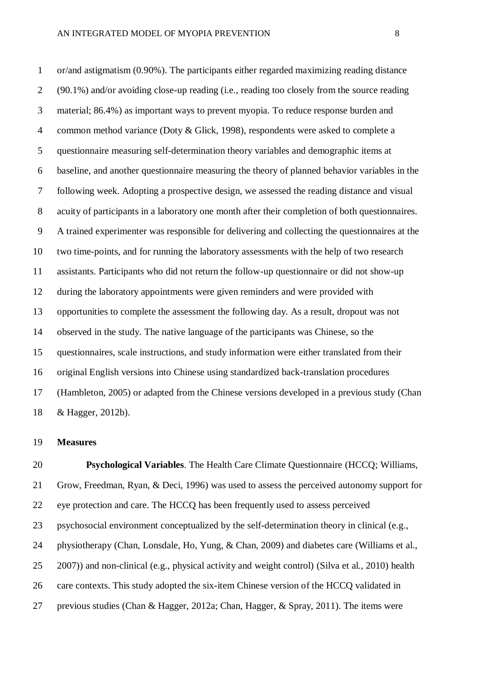or/and astigmatism (0.90%). The participants either regarded maximizing reading distance (90.1%) and/or avoiding close-up reading (i.e., reading too closely from the source reading material; 86.4%) as important ways to prevent myopia. To reduce response burden and common method variance [\(Doty & Glick, 1998\)](#page-21-8), respondents were asked to complete a questionnaire measuring self-determination theory variables and demographic items at baseline, and another questionnaire measuring the theory of planned behavior variables in the following week. Adopting a prospective design, we assessed the reading distance and visual acuity of participants in a laboratory one month after their completion of both questionnaires. A trained experimenter was responsible for delivering and collecting the questionnaires at the two time-points, and for running the laboratory assessments with the help of two research assistants. Participants who did not return the follow-up questionnaire or did not show-up during the laboratory appointments were given reminders and were provided with opportunities to complete the assessment the following day. As a result, dropout was not observed in the study. The native language of the participants was Chinese, so the questionnaires, scale instructions, and study information were either translated from their original English versions into Chinese using standardized back-translation procedures [\(Hambleton, 2005\)](#page-22-7) or adapted from the Chinese versions developed in a previous study [\(Chan](#page-20-4)  [& Hagger, 2012b\)](#page-20-4).

#### **Measures**

 **Psychological Variables**. The Health Care Climate Questionnaire [\(HCCQ; Williams,](#page-25-3)  [Grow, Freedman, Ryan, & Deci, 1996\)](#page-25-3) was used to assess the perceived autonomy support for eye protection and care. The HCCQ has been frequently used to assess perceived psychosocial environment conceptualized by the self-determination theory in clinical (e.g., 24 physiotherapy [\(Chan, Lonsdale, Ho, Yung, & Chan, 2009\)](#page-20-5) and diabetes care (Williams et al., [2007\)](#page-25-0)) and non-clinical (e.g., physical activity and weight control) [\(Silva et al., 2010\)](#page-24-5) health care contexts. This study adopted the six-item Chinese version of the HCCQ validated in previous studies [\(Chan & Hagger, 2012a;](#page-20-3) [Chan, Hagger, & Spray, 2011\)](#page-20-6). The items were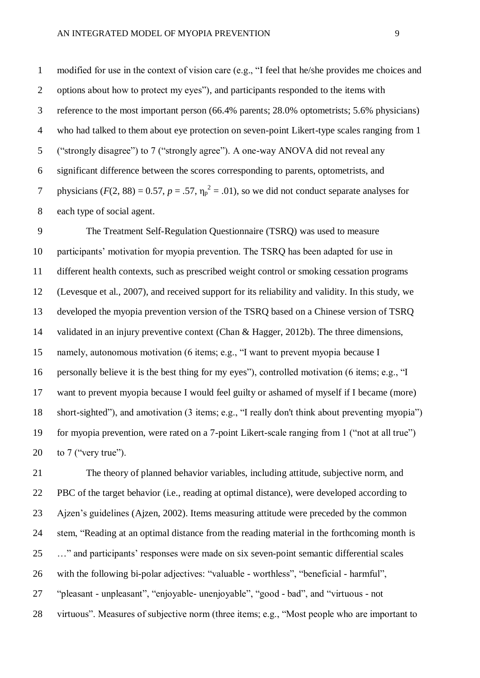modified for use in the context of vision care (e.g., "I feel that he/she provides me choices and options about how to protect my eyes"), and participants responded to the items with reference to the most important person (66.4% parents; 28.0% optometrists; 5.6% physicians) who had talked to them about eye protection on seven-point Likert-type scales ranging from 1 ("strongly disagree") to 7 ("strongly agree"). A one-way ANOVA did not reveal any significant difference between the scores corresponding to parents, optometrists, and 7 physicians  $(F(2, 88) = 0.57, p = .57, \eta_p^2 = .01)$ , so we did not conduct separate analyses for each type of social agent.

 The Treatment Self-Regulation Questionnaire (TSRQ) was used to measure participants' motivation for myopia prevention. The TSRQ has been adapted for use in different health contexts, such as prescribed weight control or smoking cessation programs [\(Levesque et al., 2007\)](#page-23-6), and received support for its reliability and validity. In this study, we developed the myopia prevention version of the TSRQ based on a Chinese version of TSRQ 14 validated in an injury preventive context [\(Chan & Hagger, 2012b\)](#page-20-4). The three dimensions, namely, autonomous motivation (6 items; e.g., "I want to prevent myopia because I personally believe it is the best thing for my eyes"), controlled motivation (6 items; e.g., "I want to prevent myopia because I would feel guilty or ashamed of myself if I became (more) short-sighted"), and amotivation (3 items; e.g., "I really don't think about preventing myopia") for myopia prevention, were rated on a 7-point Likert-scale ranging from 1 ("not at all true") 20 to 7 ("very true").

 The theory of planned behavior variables, including attitude, subjective norm, and PBC of the target behavior (i.e., reading at optimal distance), were developed according to Ajzen's guidelines [\(Ajzen, 2002\)](#page-20-7). Items measuring attitude were preceded by the common stem, "Reading at an optimal distance from the reading material in the forthcoming month is …" and participants' responses were made on six seven-point semantic differential scales with the following bi-polar adjectives: "valuable - worthless", "beneficial - harmful", "pleasant - unpleasant", "enjoyable- unenjoyable", "good - bad", and "virtuous - not virtuous". Measures of subjective norm (three items; e.g., "Most people who are important to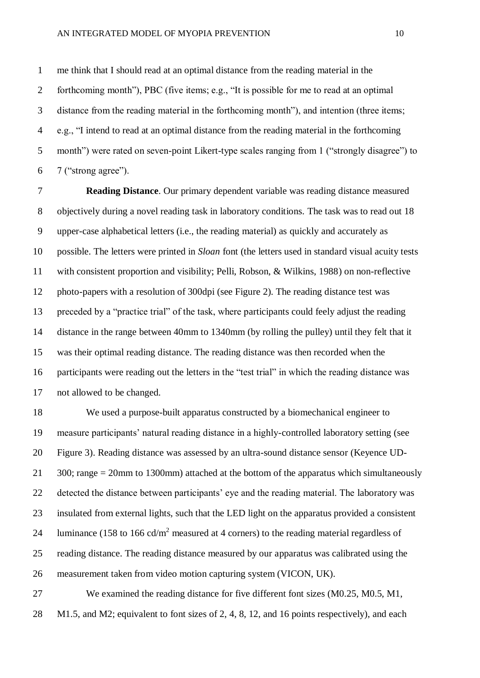me think that I should read at an optimal distance from the reading material in the forthcoming month"), PBC (five items; e.g., "It is possible for me to read at an optimal distance from the reading material in the forthcoming month"), and intention (three items; e.g., "I intend to read at an optimal distance from the reading material in the forthcoming month") were rated on seven-point Likert-type scales ranging from 1 ("strongly disagree") to 7 ("strong agree").

 **Reading Distance**. Our primary dependent variable was reading distance measured objectively during a novel reading task in laboratory conditions. The task was to read out 18 upper-case alphabetical letters (i.e., the reading material) as quickly and accurately as possible. The letters were printed in *Sloan* font [\(the letters used in standard visual acuity tests](#page-24-9)  [with consistent proportion and visibility; Pelli, Robson, & Wilkins, 1988\)](#page-24-9) on non-reflective photo-papers with a resolution of 300dpi (see Figure 2). The reading distance test was preceded by a "practice trial" of the task, where participants could feely adjust the reading distance in the range between 40mm to 1340mm (by rolling the pulley) until they felt that it was their optimal reading distance. The reading distance was then recorded when the participants were reading out the letters in the "test trial" in which the reading distance was not allowed to be changed.

 We used a purpose-built apparatus constructed by a biomechanical engineer to measure participants' natural reading distance in a highly-controlled laboratory setting (see Figure 3). Reading distance was assessed by an ultra-sound distance sensor (Keyence UD- 300; range = 20mm to 1300mm) attached at the bottom of the apparatus which simultaneously detected the distance between participants' eye and the reading material. The laboratory was insulated from external lights, such that the LED light on the apparatus provided a consistent 24 Iuminance (158 to 166 cd/m<sup>2</sup> measured at 4 corners) to the reading material regardless of reading distance. The reading distance measured by our apparatus was calibrated using the measurement taken from video motion capturing system (VICON, UK).

 We examined the reading distance for five different font sizes (M0.25, M0.5, M1, M1.5, and M2; equivalent to font sizes of 2, 4, 8, 12, and 16 points respectively), and each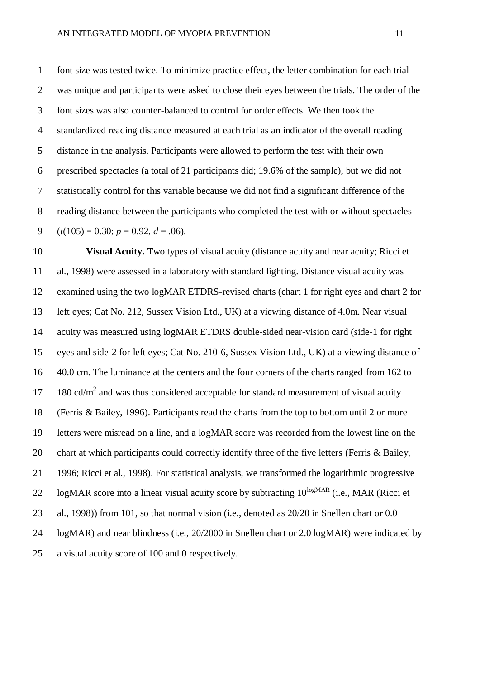font size was tested twice. To minimize practice effect, the letter combination for each trial was unique and participants were asked to close their eyes between the trials. The order of the font sizes was also counter-balanced to control for order effects. We then took the standardized reading distance measured at each trial as an indicator of the overall reading distance in the analysis. Participants were allowed to perform the test with their own prescribed spectacles (a total of 21 participants did; 19.6% of the sample), but we did not statistically control for this variable because we did not find a significant difference of the reading distance between the participants who completed the test with or without spectacles  $(t(105) = 0.30; p = 0.92, d = .06).$ 

 **Visual Acuity.** Two types of visual acuity [\(distance acuity and near acuity; Ricci et](#page-24-8)  [al., 1998\)](#page-24-8) were assessed in a laboratory with standard lighting. Distance visual acuity was examined using the two logMAR ETDRS-revised charts (chart 1 for right eyes and chart 2 for left eyes; Cat No. 212, Sussex Vision Ltd., UK) at a viewing distance of 4.0m. Near visual acuity was measured using logMAR ETDRS double-sided near-vision card (side-1 for right eyes and side-2 for left eyes; Cat No. 210-6, Sussex Vision Ltd., UK) at a viewing distance of 40.0 cm. The luminance at the centers and the four corners of the charts ranged from 162 to 17 180  $cd/m<sup>2</sup>$  and was thus considered acceptable for standard measurement of visual acuity [\(Ferris & Bailey, 1996\)](#page-21-7). Participants read the charts from the top to bottom until 2 or more letters were misread on a line, and a logMAR score was recorded from the lowest line on the chart at which participants could correctly identify three of the five letters [\(Ferris & Bailey,](#page-21-7)  [1996;](#page-21-7) [Ricci et al., 1998\)](#page-24-8). For statistical analysis, we transformed the logarithmic progressive 22 logMAR score into a linear visual acuity score by subtracting  $10^{\log_{MAR}}$  (i.e., MAR (Ricci et [al., 1998\)](#page-24-8)) from 101, so that normal vision (i.e., denoted as 20/20 in Snellen chart or 0.0 logMAR) and near blindness (i.e., 20/2000 in Snellen chart or 2.0 logMAR) were indicated by a visual acuity score of 100 and 0 respectively.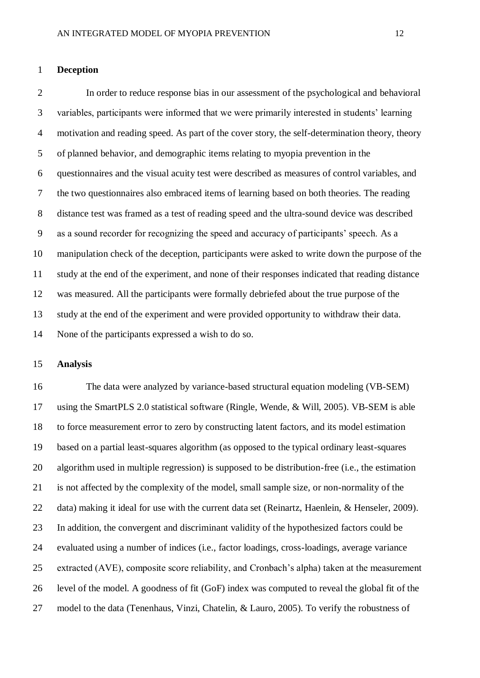## **Deception**

 In order to reduce response bias in our assessment of the psychological and behavioral variables, participants were informed that we were primarily interested in students' learning motivation and reading speed. As part of the cover story, the self-determination theory, theory of planned behavior, and demographic items relating to myopia prevention in the questionnaires and the visual acuity test were described as measures of control variables, and the two questionnaires also embraced items of learning based on both theories. The reading distance test was framed as a test of reading speed and the ultra-sound device was described as a sound recorder for recognizing the speed and accuracy of participants' speech. As a manipulation check of the deception, participants were asked to write down the purpose of the study at the end of the experiment, and none of their responses indicated that reading distance was measured. All the participants were formally debriefed about the true purpose of the study at the end of the experiment and were provided opportunity to withdraw their data. None of the participants expressed a wish to do so.

#### **Analysis**

 The data were analyzed by variance-based structural equation modeling (VB-SEM) using the SmartPLS 2.0 statistical software [\(Ringle, Wende, & Will, 2005\)](#page-24-10). VB-SEM is able to force measurement error to zero by constructing latent factors, and its model estimation based on a partial least-squares algorithm (as opposed to the typical ordinary least-squares algorithm used in multiple regression) is supposed to be distribution-free (i.e., the estimation is not affected by the complexity of the model, small sample size, or non-normality of the data) making it ideal for use with the current data set [\(Reinartz, Haenlein, & Henseler, 2009\)](#page-24-11). In addition, the convergent and discriminant validity of the hypothesized factors could be evaluated using a number of indices (i.e., factor loadings, cross-loadings, average variance extracted (AVE), composite score reliability, and Cronbach's alpha) taken at the measurement level of the model. A goodness of fit (GoF) index was computed to reveal the global fit of the model to the data [\(Tenenhaus, Vinzi, Chatelin, & Lauro, 2005\)](#page-25-4). To verify the robustness of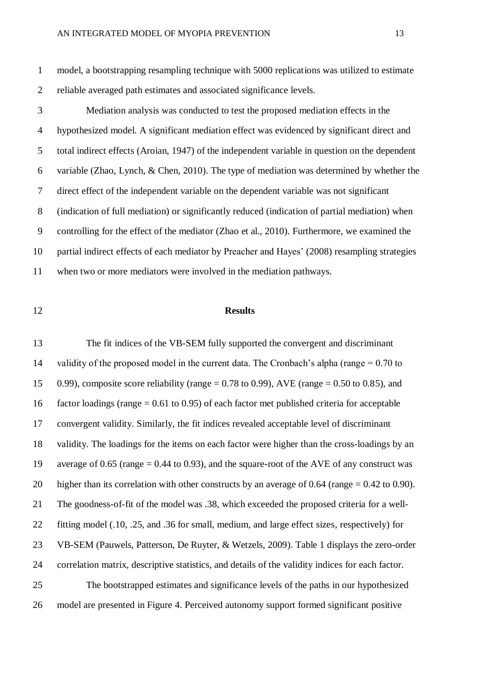model, a bootstrapping resampling technique with 5000 replications was utilized to estimate reliable averaged path estimates and associated significance levels.

 Mediation analysis was conducted to test the proposed mediation effects in the hypothesized model. A significant mediation effect was evidenced by significant direct and total indirect effects [\(Aroian, 1947\)](#page-20-8) of the independent variable in question on the dependent variable [\(Zhao, Lynch, & Chen, 2010\)](#page-25-5). The type of mediation was determined by whether the direct effect of the independent variable on the dependent variable was not significant (indication of full mediation) or significantly reduced (indication of partial mediation) when controlling for the effect of the mediator [\(Zhao et al., 2010\)](#page-25-5). Furthermore, we examined the partial indirect effects of each mediator by Preacher and Hayes' [\(2008\)](#page-24-12) resampling strategies when two or more mediators were involved in the mediation pathways.

## **Results**

 The fit indices of the VB-SEM fully supported the convergent and discriminant 14 validity of the proposed model in the current data. The Cronbach's alpha (range = 0.70 to 15 0.99), composite score reliability (range = 0.78 to 0.99), AVE (range = 0.50 to 0.85), and factor loadings (range = 0.61 to 0.95) of each factor met published criteria for acceptable convergent validity. Similarly, the fit indices revealed acceptable level of discriminant validity. The loadings for the items on each factor were higher than the cross-loadings by an 19 average of 0.65 (range  $= 0.44$  to 0.93), and the square-root of the AVE of any construct was higher than its correlation with other constructs by an average of 0.64 (range = 0.42 to 0.90). The goodness-of-fit of the model was .38, which exceeded the proposed criteria for a well- fitting model (.10, .25, and .36 for small, medium, and large effect sizes, respectively) for VB-SEM [\(Pauwels, Patterson, De Ruyter, & Wetzels, 2009\)](#page-24-13). Table 1 displays the zero-order correlation matrix, descriptive statistics, and details of the validity indices for each factor. The bootstrapped estimates and significance levels of the paths in our hypothesized model are presented in Figure 4. Perceived autonomy support formed significant positive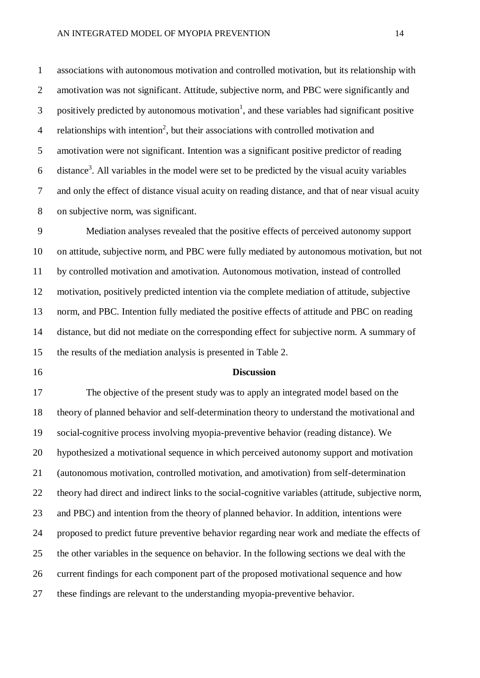associations with autonomous motivation and controlled motivation, but its relationship with amotivation was not significant. Attitude, subjective norm, and PBC were significantly and 3 positively predicted by autonomous motivation<sup>1</sup>, and these variables had significant positive 4 relationships with intention<sup>2</sup>, but their associations with controlled motivation and amotivation were not significant. Intention was a significant positive predictor of reading 6 distance<sup>3</sup>. All variables in the model were set to be predicted by the visual acuity variables and only the effect of distance visual acuity on reading distance, and that of near visual acuity on subjective norm, was significant.

 Mediation analyses revealed that the positive effects of perceived autonomy support on attitude, subjective norm, and PBC were fully mediated by autonomous motivation, but not by controlled motivation and amotivation. Autonomous motivation, instead of controlled motivation, positively predicted intention via the complete mediation of attitude, subjective norm, and PBC. Intention fully mediated the positive effects of attitude and PBC on reading distance, but did not mediate on the corresponding effect for subjective norm. A summary of the results of the mediation analysis is presented in Table 2.

#### **Discussion**

 The objective of the present study was to apply an integrated model based on the theory of planned behavior and self-determination theory to understand the motivational and social-cognitive process involving myopia-preventive behavior (reading distance). We hypothesized a motivational sequence in which perceived autonomy support and motivation (autonomous motivation, controlled motivation, and amotivation) from self-determination theory had direct and indirect links to the social-cognitive variables (attitude, subjective norm, and PBC) and intention from the theory of planned behavior. In addition, intentions were proposed to predict future preventive behavior regarding near work and mediate the effects of the other variables in the sequence on behavior. In the following sections we deal with the current findings for each component part of the proposed motivational sequence and how these findings are relevant to the understanding myopia-preventive behavior.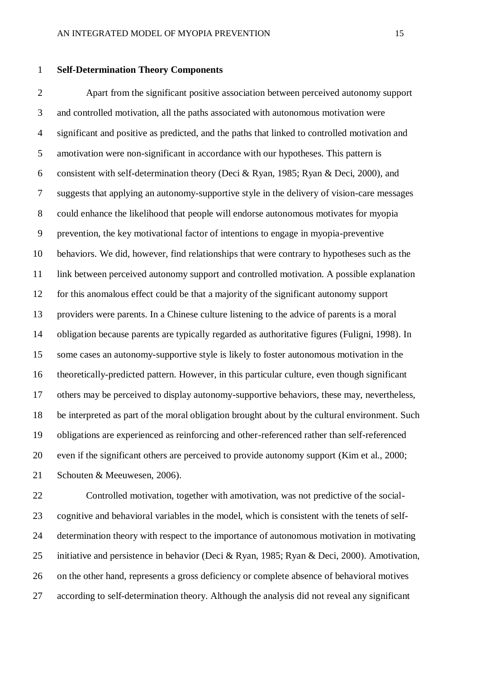### **Self-Determination Theory Components**

 Apart from the significant positive association between perceived autonomy support and controlled motivation, all the paths associated with autonomous motivation were significant and positive as predicted, and the paths that linked to controlled motivation and amotivation were non-significant in accordance with our hypotheses. This pattern is consistent with self-determination theory [\(Deci & Ryan, 1985;](#page-21-3) [Ryan & Deci, 2000\)](#page-24-4), and suggests that applying an autonomy-supportive style in the delivery of vision-care messages could enhance the likelihood that people will endorse autonomous motivates for myopia prevention, the key motivational factor of intentions to engage in myopia-preventive behaviors. We did, however, find relationships that were contrary to hypotheses such as the link between perceived autonomy support and controlled motivation. A possible explanation for this anomalous effect could be that a majority of the significant autonomy support providers were parents. In a Chinese culture listening to the advice of parents is a moral obligation because parents are typically regarded as authoritative figures [\(Fuligni, 1998\)](#page-21-9). In some cases an autonomy-supportive style is likely to foster autonomous motivation in the theoretically-predicted pattern. However, in this particular culture, even though significant others may be perceived to display autonomy-supportive behaviors, these may, nevertheless, be interpreted as part of the moral obligation brought about by the cultural environment. Such obligations are experienced as reinforcing and other-referenced rather than self-referenced even if the significant others are perceived to provide autonomy support [\(Kim et al., 2000;](#page-23-7) [Schouten & Meeuwesen, 2006\)](#page-24-14).

 Controlled motivation, together with amotivation, was not predictive of the social- cognitive and behavioral variables in the model, which is consistent with the tenets of self- determination theory with respect to the importance of autonomous motivation in motivating initiative and persistence in behavior [\(Deci & Ryan, 1985;](#page-21-3) [Ryan & Deci, 2000\)](#page-24-4). Amotivation, on the other hand, represents a gross deficiency or complete absence of behavioral motives according to self-determination theory. Although the analysis did not reveal any significant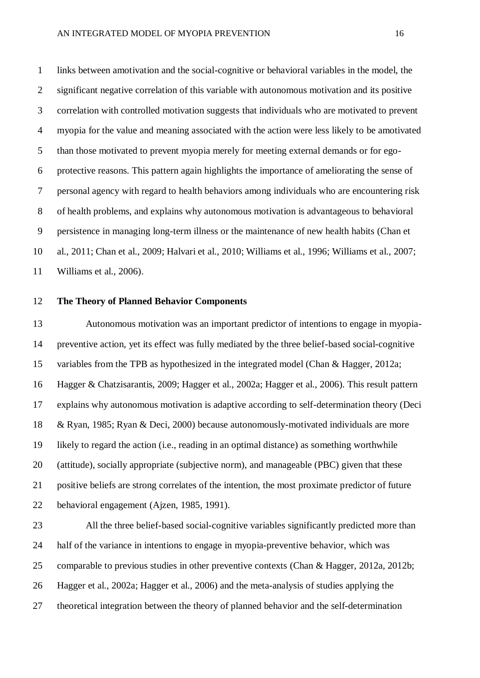links between amotivation and the social-cognitive or behavioral variables in the model, the significant negative correlation of this variable with autonomous motivation and its positive correlation with controlled motivation suggests that individuals who are motivated to prevent myopia for the value and meaning associated with the action were less likely to be amotivated than those motivated to prevent myopia merely for meeting external demands or for ego- protective reasons. This pattern again highlights the importance of ameliorating the sense of personal agency with regard to health behaviors among individuals who are encountering risk of health problems, and explains why autonomous motivation is advantageous to behavioral persistence in managing long-term illness or the maintenance of new health habits [\(Chan et](#page-20-6)  [al., 2011;](#page-20-6) [Chan et al., 2009;](#page-20-5) [Halvari et al., 2010;](#page-22-4) [Williams et al., 1996;](#page-25-3) [Williams et al., 2007;](#page-25-0) [Williams et al., 2006\)](#page-25-1).

#### **The Theory of Planned Behavior Components**

 Autonomous motivation was an important predictor of intentions to engage in myopia- preventive action, yet its effect was fully mediated by the three belief-based social-cognitive variables from the TPB as hypothesized in the integrated model [\(Chan & Hagger, 2012a;](#page-20-3) [Hagger & Chatzisarantis, 2009;](#page-21-5) [Hagger et al., 2002a;](#page-21-6) [Hagger et al., 2006\)](#page-22-3). This result pattern explains why autonomous motivation is adaptive according to self-determination theory [\(Deci](#page-21-3)  [& Ryan, 1985;](#page-21-3) [Ryan & Deci, 2000\)](#page-24-4) because autonomously-motivated individuals are more likely to regard the action (i.e., reading in an optimal distance) as something worthwhile (attitude), socially appropriate (subjective norm), and manageable (PBC) given that these positive beliefs are strong correlates of the intention, the most proximate predictor of future behavioral engagement [\(Ajzen, 1985,](#page-20-0) [1991\)](#page-20-1).

 All the three belief-based social-cognitive variables significantly predicted more than half of the variance in intentions to engage in myopia-preventive behavior, which was comparable to previous studies in other preventive contexts [\(Chan & Hagger, 2012a,](#page-20-3) [2012b;](#page-20-4) [Hagger et al., 2002a;](#page-21-6) [Hagger et al., 2006\)](#page-22-3) and the meta-analysis of studies applying the theoretical integration between the theory of planned behavior and the self-determination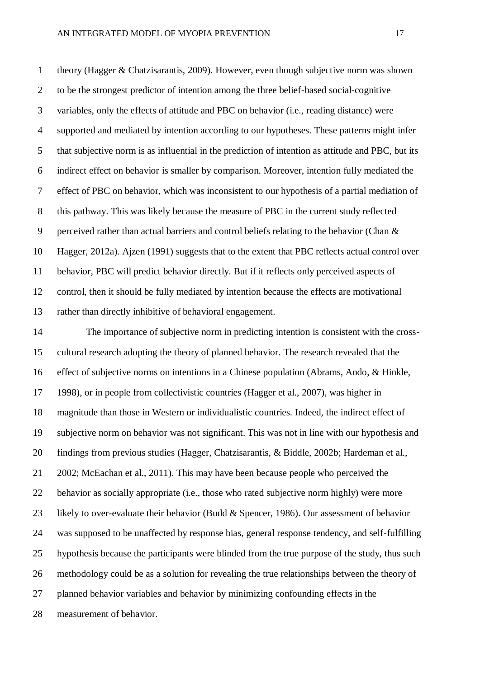theory [\(Hagger & Chatzisarantis, 2009\)](#page-21-5). However, even though subjective norm was shown to be the strongest predictor of intention among the three belief-based social-cognitive variables, only the effects of attitude and PBC on behavior (i.e., reading distance) were supported and mediated by intention according to our hypotheses. These patterns might infer that subjective norm is as influential in the prediction of intention as attitude and PBC, but its indirect effect on behavior is smaller by comparison. Moreover, intention fully mediated the effect of PBC on behavior, which was inconsistent to our hypothesis of a partial mediation of this pathway. This was likely because the measure of PBC in the current study reflected perceived rather than actual barriers and control beliefs relating to the behavior [\(Chan &](#page-20-3)  [Hagger, 2012a\)](#page-20-3). Ajzen [\(1991\)](#page-20-1) suggests that to the extent that PBC reflects actual control over behavior, PBC will predict behavior directly. But if it reflects only perceived aspects of control, then it should be fully mediated by intention because the effects are motivational rather than directly inhibitive of behavioral engagement.

 The importance of subjective norm in predicting intention is consistent with the cross- cultural research adopting the theory of planned behavior. The research revealed that the effect of subjective norms on intentions in a Chinese population [\(Abrams, Ando, & Hinkle,](#page-20-9)  [1998\)](#page-20-9), or in people from collectivistic countries [\(Hagger et al.,](#page-21-10) 2007), was higher in magnitude than those in Western or individualistic countries. Indeed, the indirect effect of subjective norm on behavior was not significant. This was not in line with our hypothesis and findings from previous studies [\(Hagger, Chatzisarantis, & Biddle, 2002b;](#page-22-8) [Hardeman et al.,](#page-22-2)  [2002;](#page-22-2) [McEachan et al., 2011\)](#page-23-2). This may have been because people who perceived the behavior as socially appropriate (i.e., those who rated subjective norm highly) were more likely to over-evaluate their behavior [\(Budd & Spencer, 1986\)](#page-20-10). Our assessment of behavior was supposed to be unaffected by response bias, general response tendency, and self-fulfilling hypothesis because the participants were blinded from the true purpose of the study, thus such methodology could be as a solution for revealing the true relationships between the theory of planned behavior variables and behavior by minimizing confounding effects in the measurement of behavior.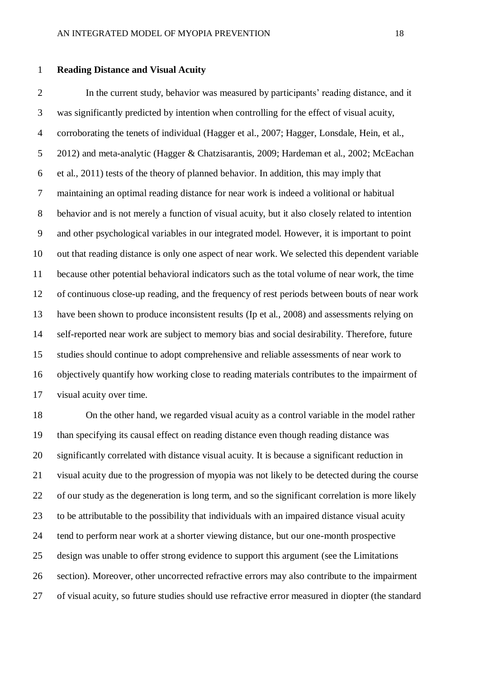## **Reading Distance and Visual Acuity**

 In the current study, behavior was measured by participants' reading distance, and it was significantly predicted by intention when controlling for the effect of visual acuity, corroborating the tenets of individual [\(Hagger et al., 2007;](#page-21-10) [Hagger, Lonsdale, Hein, et al.,](#page-22-6)  [2012\)](#page-22-6) and meta-analytic [\(Hagger & Chatzisarantis, 2009;](#page-21-5) [Hardeman et al., 2002;](#page-22-2) [McEachan](#page-23-2)  [et al., 2011\)](#page-23-2) tests of the theory of planned behavior. In addition, this may imply that maintaining an optimal reading distance for near work is indeed a volitional or habitual behavior and is not merely a function of visual acuity, but it also closely related to intention and other psychological variables in our integrated model. However, it is important to point out that reading distance is only one aspect of near work. We selected this dependent variable because other potential behavioral indicators such as the total volume of near work, the time of continuous close-up reading, and the frequency of rest periods between bouts of near work have been shown to produce inconsistent results [\(Ip et al., 2008\)](#page-22-1) and assessments relying on self-reported near work are subject to memory bias and social desirability. Therefore, future studies should continue to adopt comprehensive and reliable assessments of near work to objectively quantify how working close to reading materials contributes to the impairment of visual acuity over time.

 On the other hand, we regarded visual acuity as a control variable in the model rather than specifying its causal effect on reading distance even though reading distance was significantly correlated with distance visual acuity. It is because a significant reduction in visual acuity due to the progression of myopia was not likely to be detected during the course of our study as the degeneration is long term, and so the significant correlation is more likely 23 to be attributable to the possibility that individuals with an impaired distance visual acuity tend to perform near work at a shorter viewing distance, but our one-month prospective design was unable to offer strong evidence to support this argument (see the Limitations section). Moreover, other uncorrected refractive errors may also contribute to the impairment of visual acuity, so future studies should use refractive error measured in diopter (the standard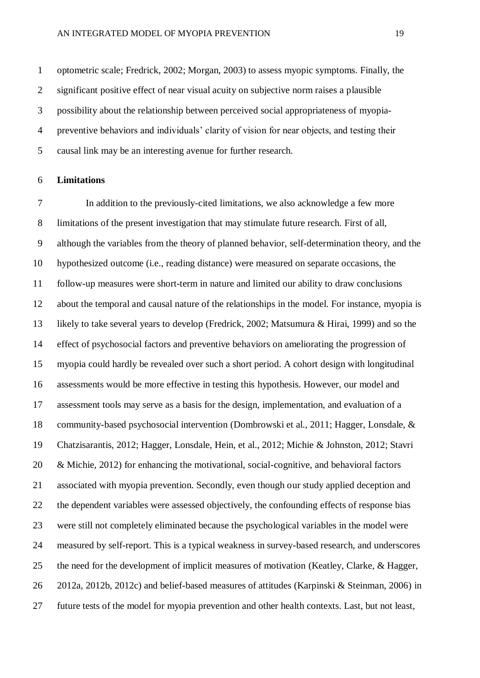optometric scale; [Fredrick, 2002;](#page-21-0) [Morgan, 2003\)](#page-23-0) to assess myopic symptoms. Finally, the significant positive effect of near visual acuity on subjective norm raises a plausible possibility about the relationship between perceived social appropriateness of myopia- preventive behaviors and individuals' clarity of vision for near objects, and testing their causal link may be an interesting avenue for further research.

#### **Limitations**

 In addition to the previously-cited limitations, we also acknowledge a few more limitations of the present investigation that may stimulate future research. First of all, although the variables from the theory of planned behavior, self-determination theory, and the hypothesized outcome (i.e., reading distance) were measured on separate occasions, the follow-up measures were short-term in nature and limited our ability to draw conclusions about the temporal and causal nature of the relationships in the model. For instance, myopia is likely to take several years to develop [\(Fredrick, 2002;](#page-21-0) [Matsumura & Hirai, 1999\)](#page-23-1) and so the effect of psychosocial factors and preventive behaviors on ameliorating the progression of myopia could hardly be revealed over such a short period. A cohort design with longitudinal assessments would be more effective in testing this hypothesis. However, our model and assessment tools may serve as a basis for the design, implementation, and evaluation of a community-based psychosocial intervention [\(Dombrowski et al., 2011;](#page-21-11) [Hagger, Lonsdale, &](#page-22-5)  [Chatzisarantis, 2012;](#page-22-5) [Hagger, Lonsdale, Hein, et al., 2012;](#page-22-6) [Michie & Johnston, 2012;](#page-23-8) [Stavri](#page-25-6)  [& Michie, 2012\)](#page-25-6) for enhancing the motivational, social-cognitive, and behavioral factors associated with myopia prevention. Secondly, even though our study applied deception and the dependent variables were assessed objectively, the confounding effects of response bias were still not completely eliminated because the psychological variables in the model were measured by self-report. This is a typical weakness in survey-based research, and underscores the need for the development of implicit measures of motivation [\(Keatley, Clarke, & Hagger,](#page-23-9)  [2012a,](#page-23-9) [2012b,](#page-23-10) [2012c\)](#page-23-11) and belief-based measures of attitudes [\(Karpinski & Steinman, 2006\)](#page-22-9) in future tests of the model for myopia prevention and other health contexts. Last, but not least,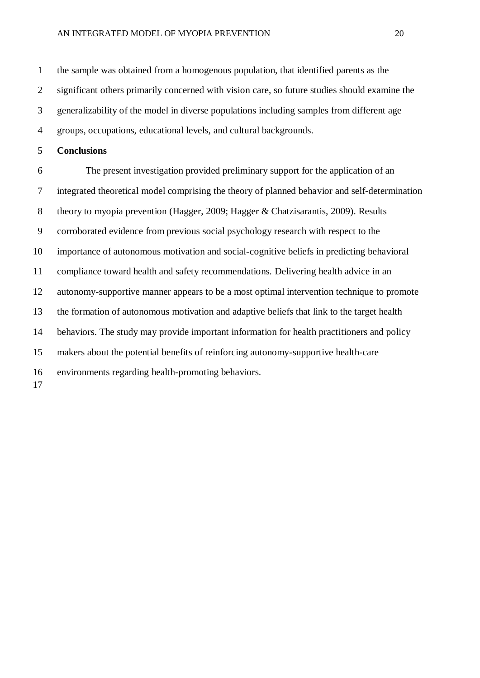the sample was obtained from a homogenous population, that identified parents as the significant others primarily concerned with vision care, so future studies should examine the generalizability of the model in diverse populations including samples from different age groups, occupations, educational levels, and cultural backgrounds.

**Conclusions**

 The present investigation provided preliminary support for the application of an integrated theoretical model comprising the theory of planned behavior and self-determination theory to myopia prevention [\(Hagger, 2009;](#page-21-4) [Hagger & Chatzisarantis, 2009\)](#page-21-5). Results corroborated evidence from previous social psychology research with respect to the importance of autonomous motivation and social-cognitive beliefs in predicting behavioral compliance toward health and safety recommendations. Delivering health advice in an autonomy-supportive manner appears to be a most optimal intervention technique to promote the formation of autonomous motivation and adaptive beliefs that link to the target health behaviors. The study may provide important information for health practitioners and policy makers about the potential benefits of reinforcing autonomy-supportive health-care environments regarding health-promoting behaviors.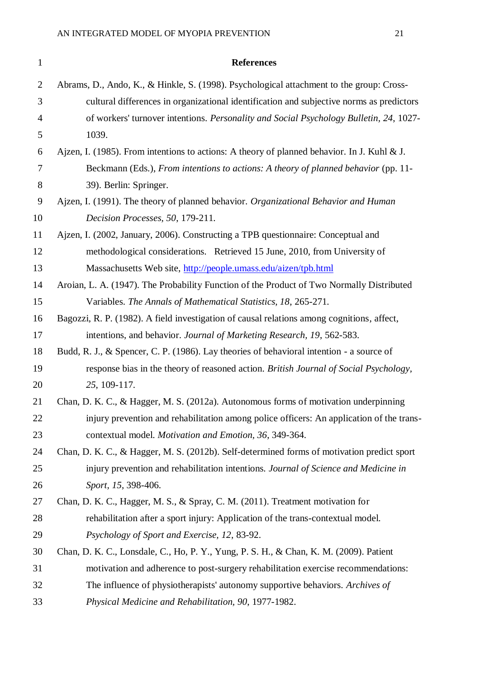<span id="page-20-10"></span><span id="page-20-9"></span><span id="page-20-8"></span><span id="page-20-7"></span><span id="page-20-6"></span><span id="page-20-5"></span><span id="page-20-4"></span><span id="page-20-3"></span><span id="page-20-2"></span><span id="page-20-1"></span><span id="page-20-0"></span>

| $\mathbf{1}$   | <b>References</b>                                                                           |
|----------------|---------------------------------------------------------------------------------------------|
| $\mathbf{2}$   | Abrams, D., Ando, K., & Hinkle, S. (1998). Psychological attachment to the group: Cross-    |
| 3              | cultural differences in organizational identification and subjective norms as predictors    |
| $\overline{4}$ | of workers' turnover intentions. Personality and Social Psychology Bulletin, 24, 1027-      |
| 5              | 1039.                                                                                       |
| 6              | Ajzen, I. (1985). From intentions to actions: A theory of planned behavior. In J. Kuhl & J. |
| $\tau$         | Beckmann (Eds.), From intentions to actions: A theory of planned behavior (pp. 11-          |
| $8\,$          | 39). Berlin: Springer.                                                                      |
| 9              | Ajzen, I. (1991). The theory of planned behavior. Organizational Behavior and Human         |
| 10             | Decision Processes, 50, 179-211.                                                            |
| 11             | Ajzen, I. (2002, January, 2006). Constructing a TPB questionnaire: Conceptual and           |
| 12             | methodological considerations. Retrieved 15 June, 2010, from University of                  |
| 13             | Massachusetts Web site, http://people.umass.edu/aizen/tpb.html                              |
| 14             | Aroian, L. A. (1947). The Probability Function of the Product of Two Normally Distributed   |
| 15             | Variables. The Annals of Mathematical Statistics, 18, 265-271.                              |
| 16             | Bagozzi, R. P. (1982). A field investigation of causal relations among cognitions, affect,  |
| 17             | intentions, and behavior. Journal of Marketing Research, 19, 562-583.                       |
| 18             | Budd, R. J., & Spencer, C. P. (1986). Lay theories of behavioral intention - a source of    |
| 19             | response bias in the theory of reasoned action. British Journal of Social Psychology,       |
| 20             | 25, 109-117.                                                                                |
| 21             | Chan, D. K. C., & Hagger, M. S. (2012a). Autonomous forms of motivation underpinning        |
| $22\,$         | injury prevention and rehabilitation among police officers: An application of the trans-    |
| 23             | contextual model. Motivation and Emotion, 36, 349-364.                                      |
| 24             | Chan, D. K. C., & Hagger, M. S. (2012b). Self-determined forms of motivation predict sport  |
| 25             | injury prevention and rehabilitation intentions. Journal of Science and Medicine in         |
| 26             | Sport, 15, 398-406.                                                                         |
| 27             | Chan, D. K. C., Hagger, M. S., & Spray, C. M. (2011). Treatment motivation for              |
| 28             | rehabilitation after a sport injury: Application of the trans-contextual model.             |
| 29             | Psychology of Sport and Exercise, 12, 83-92.                                                |
| 30             | Chan, D. K. C., Lonsdale, C., Ho, P. Y., Yung, P. S. H., & Chan, K. M. (2009). Patient      |
| 31             | motivation and adherence to post-surgery rehabilitation exercise recommendations:           |
| 32             | The influence of physiotherapists' autonomy supportive behaviors. Archives of               |
| 33             | Physical Medicine and Rehabilitation, 90, 1977-1982.                                        |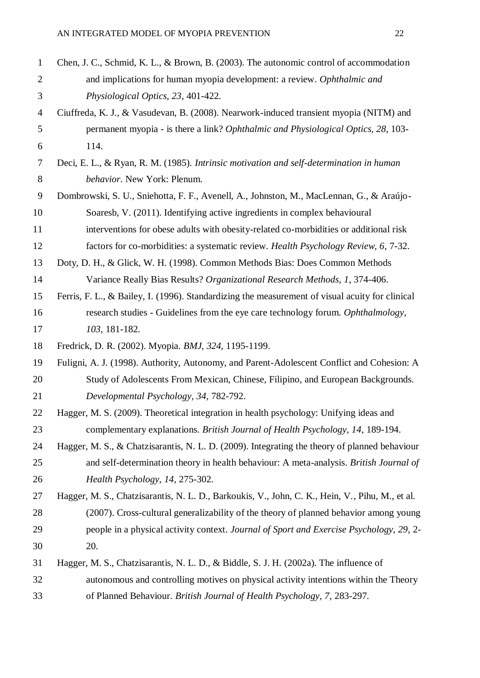<span id="page-21-11"></span><span id="page-21-10"></span><span id="page-21-9"></span><span id="page-21-8"></span><span id="page-21-7"></span><span id="page-21-6"></span><span id="page-21-5"></span><span id="page-21-4"></span><span id="page-21-3"></span><span id="page-21-2"></span><span id="page-21-1"></span><span id="page-21-0"></span>

| $\mathbf{1}$   | Chen, J. C., Schmid, K. L., & Brown, B. (2003). The autonomic control of accommodation          |
|----------------|-------------------------------------------------------------------------------------------------|
| $\overline{2}$ | and implications for human myopia development: a review. Ophthalmic and                         |
| 3              | Physiological Optics, 23, 401-422.                                                              |
| $\overline{4}$ | Ciuffreda, K. J., & Vasudevan, B. (2008). Nearwork-induced transient myopia (NITM) and          |
| 5              | permanent myopia - is there a link? Ophthalmic and Physiological Optics, 28, 103-               |
| 6              | 114.                                                                                            |
| 7              | Deci, E. L., & Ryan, R. M. (1985). Intrinsic motivation and self-determination in human         |
| 8              | behavior. New York: Plenum.                                                                     |
| 9              | Dombrowski, S. U., Sniehotta, F. F., Avenell, A., Johnston, M., MacLennan, G., & Araújo-        |
| 10             | Soaresb, V. (2011). Identifying active ingredients in complex behavioural                       |
| 11             | interventions for obese adults with obesity-related co-morbidities or additional risk           |
| 12             | factors for co-morbidities: a systematic review. Health Psychology Review, 6, 7-32.             |
| 13             | Doty, D. H., & Glick, W. H. (1998). Common Methods Bias: Does Common Methods                    |
| 14             | Variance Really Bias Results? Organizational Research Methods, 1, 374-406.                      |
| 15             | Ferris, F. L., & Bailey, I. (1996). Standardizing the measurement of visual acuity for clinical |
| 16             | research studies - Guidelines from the eye care technology forum. Ophthalmology,                |
| 17             | 103, 181-182.                                                                                   |
| 18             | Fredrick, D. R. (2002). Myopia. BMJ, 324, 1195-1199.                                            |
| 19             | Fuligni, A. J. (1998). Authority, Autonomy, and Parent-Adolescent Conflict and Cohesion: A      |
| 20             | Study of Adolescents From Mexican, Chinese, Filipino, and European Backgrounds.                 |
| 21             | Developmental Psychology, 34, 782-792.                                                          |
| 22             | Hagger, M. S. (2009). Theoretical integration in health psychology: Unifying ideas and          |
| 23             | complementary explanations. British Journal of Health Psychology, 14, 189-194.                  |
| 24             | Hagger, M. S., & Chatzisarantis, N. L. D. (2009). Integrating the theory of planned behaviour   |
| 25             | and self-determination theory in health behaviour: A meta-analysis. British Journal of          |
| 26             | Health Psychology, 14, 275-302.                                                                 |
| 27             | Hagger, M. S., Chatzisarantis, N. L. D., Barkoukis, V., John, C. K., Hein, V., Pihu, M., et al. |
| 28             | (2007). Cross-cultural generalizability of the theory of planned behavior among young           |
| 29             | people in a physical activity context. Journal of Sport and Exercise Psychology, 29, 2-         |
| 30             | 20.                                                                                             |
| 31             | Hagger, M. S., Chatzisarantis, N. L. D., & Biddle, S. J. H. (2002a). The influence of           |
| 32             | autonomous and controlling motives on physical activity intentions within the Theory            |
| 33             | of Planned Behaviour. British Journal of Health Psychology, 7, 283-297.                         |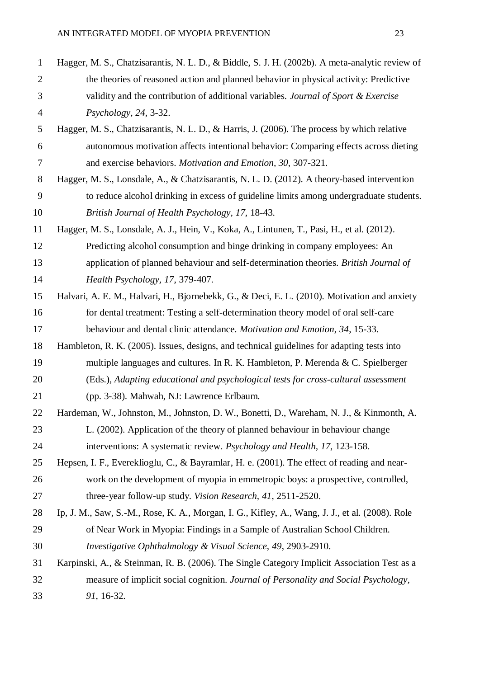<span id="page-22-9"></span><span id="page-22-8"></span><span id="page-22-7"></span><span id="page-22-6"></span><span id="page-22-5"></span><span id="page-22-4"></span><span id="page-22-3"></span><span id="page-22-2"></span><span id="page-22-1"></span><span id="page-22-0"></span>

| $\mathbf{1}$   | Hagger, M. S., Chatzisarantis, N. L. D., & Biddle, S. J. H. (2002b). A meta-analytic review of  |
|----------------|-------------------------------------------------------------------------------------------------|
| $\overline{2}$ | the theories of reasoned action and planned behavior in physical activity: Predictive           |
| 3              | validity and the contribution of additional variables. Journal of Sport & Exercise              |
| $\overline{4}$ | $Psychology, 24, 3-32.$                                                                         |
| 5              | Hagger, M. S., Chatzisarantis, N. L. D., & Harris, J. (2006). The process by which relative     |
| 6              | autonomous motivation affects intentional behavior: Comparing effects across dieting            |
| $\tau$         | and exercise behaviors. Motivation and Emotion, 30, 307-321.                                    |
| 8              | Hagger, M. S., Lonsdale, A., & Chatzisarantis, N. L. D. (2012). A theory-based intervention     |
| 9              | to reduce alcohol drinking in excess of guideline limits among undergraduate students.          |
| 10             | British Journal of Health Psychology, 17, 18-43.                                                |
| 11             | Hagger, M. S., Lonsdale, A. J., Hein, V., Koka, A., Lintunen, T., Pasi, H., et al. (2012).      |
| 12             | Predicting alcohol consumption and binge drinking in company employees: An                      |
| 13             | application of planned behaviour and self-determination theories. British Journal of            |
| 14             | Health Psychology, 17, 379-407.                                                                 |
| 15             | Halvari, A. E. M., Halvari, H., Bjornebekk, G., & Deci, E. L. (2010). Motivation and anxiety    |
| 16             | for dental treatment: Testing a self-determination theory model of oral self-care               |
| 17             | behaviour and dental clinic attendance. Motivation and Emotion, 34, 15-33.                      |
| 18             | Hambleton, R. K. (2005). Issues, designs, and technical guidelines for adapting tests into      |
| 19             | multiple languages and cultures. In R. K. Hambleton, P. Merenda & C. Spielberger                |
| 20             | (Eds.), Adapting educational and psychological tests for cross-cultural assessment              |
| 21             | (pp. 3-38). Mahwah, NJ: Lawrence Erlbaum.                                                       |
| 22             | Hardeman, W., Johnston, M., Johnston, D. W., Bonetti, D., Wareham, N. J., & Kinmonth, A.        |
| 23             | L. (2002). Application of the theory of planned behaviour in behaviour change                   |
| 24             | interventions: A systematic review. Psychology and Health, 17, 123-158.                         |
| 25             | Hepsen, I. F., Evereklioglu, C., & Bayramlar, H. e. (2001). The effect of reading and near-     |
| 26             | work on the development of myopia in emmetropic boys: a prospective, controlled,                |
| 27             | three-year follow-up study. Vision Research, 41, 2511-2520.                                     |
| 28             | Ip, J. M., Saw, S.-M., Rose, K. A., Morgan, I. G., Kifley, A., Wang, J. J., et al. (2008). Role |
| 29             | of Near Work in Myopia: Findings in a Sample of Australian School Children.                     |
| 30             | Investigative Ophthalmology & Visual Science, 49, 2903-2910.                                    |
| 31             | Karpinski, A., & Steinman, R. B. (2006). The Single Category Implicit Association Test as a     |
| 32             | measure of implicit social cognition. Journal of Personality and Social Psychology,             |
| 33             | 91, 16-32.                                                                                      |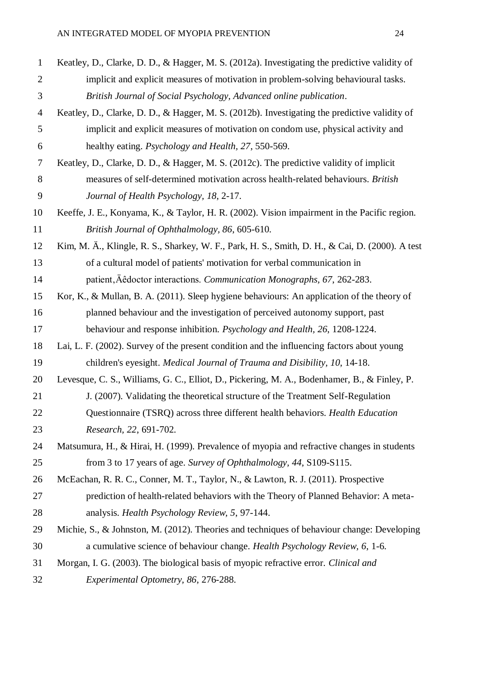<span id="page-23-11"></span><span id="page-23-10"></span><span id="page-23-9"></span><span id="page-23-8"></span><span id="page-23-7"></span><span id="page-23-6"></span><span id="page-23-5"></span><span id="page-23-4"></span><span id="page-23-3"></span><span id="page-23-2"></span><span id="page-23-1"></span><span id="page-23-0"></span>

| $\mathbf{1}$   | Keatley, D., Clarke, D. D., & Hagger, M. S. (2012a). Investigating the predictive validity of   |
|----------------|-------------------------------------------------------------------------------------------------|
| $\overline{2}$ | implicit and explicit measures of motivation in problem-solving behavioural tasks.              |
| 3              | British Journal of Social Psychology, Advanced online publication.                              |
| 4              | Keatley, D., Clarke, D. D., & Hagger, M. S. (2012b). Investigating the predictive validity of   |
| 5              | implicit and explicit measures of motivation on condom use, physical activity and               |
| 6              | healthy eating. <i>Psychology and Health</i> , 27, 550-569.                                     |
| 7              | Keatley, D., Clarke, D. D., & Hagger, M. S. (2012c). The predictive validity of implicit        |
| 8              | measures of self-determined motivation across health-related behaviours. British                |
| 9              | Journal of Health Psychology, 18, 2-17.                                                         |
| 10             | Keeffe, J. E., Konyama, K., & Taylor, H. R. (2002). Vision impairment in the Pacific region.    |
| 11             | British Journal of Ophthalmology, 86, 605-610.                                                  |
| 12             | Kim, M. Ä., Klingle, R. S., Sharkey, W. F., Park, H. S., Smith, D. H., & Cai, D. (2000). A test |
| 13             | of a cultural model of patients' motivation for verbal communication in                         |
| 14             | patient, Aêdoctor interactions. Communication Monographs, 67, 262-283.                          |
| 15             | Kor, K., & Mullan, B. A. (2011). Sleep hygiene behaviours: An application of the theory of      |
| 16             | planned behaviour and the investigation of perceived autonomy support, past                     |
| 17             | behaviour and response inhibition. Psychology and Health, 26, 1208-1224.                        |
| 18             | Lai, L. F. (2002). Survey of the present condition and the influencing factors about young      |
| 19             | children's eyesight. Medical Journal of Trauma and Disibility, 10, 14-18.                       |
| 20             | Levesque, C. S., Williams, G. C., Elliot, D., Pickering, M. A., Bodenhamer, B., & Finley, P.    |
| 21             | J. (2007). Validating the theoretical structure of the Treatment Self-Regulation                |
| 22             | Questionnaire (TSRQ) across three different health behaviors. Health Education                  |
| 23             | Research, 22, 691-702.                                                                          |
| 24             | Matsumura, H., & Hirai, H. (1999). Prevalence of myopia and refractive changes in students      |
| 25             | from 3 to 17 years of age. Survey of Ophthalmology, 44, S109-S115.                              |
| 26             | McEachan, R. R. C., Conner, M. T., Taylor, N., & Lawton, R. J. (2011). Prospective              |
| 27             | prediction of health-related behaviors with the Theory of Planned Behavior: A meta-             |
| 28             | analysis. Health Psychology Review, 5, 97-144.                                                  |
| 29             | Michie, S., & Johnston, M. (2012). Theories and techniques of behaviour change: Developing      |
| 30             | a cumulative science of behaviour change. Health Psychology Review, 6, 1-6.                     |
| 31             | Morgan, I. G. (2003). The biological basis of myopic refractive error. Clinical and             |
| 32             | Experimental Optometry, 86, 276-288.                                                            |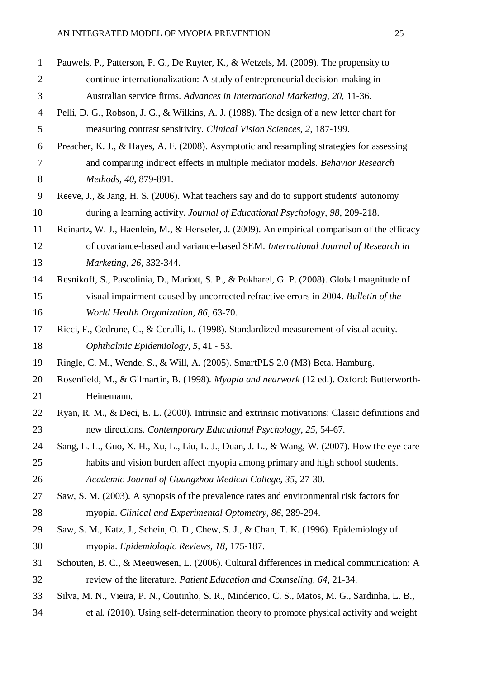<span id="page-24-14"></span><span id="page-24-13"></span><span id="page-24-12"></span><span id="page-24-11"></span><span id="page-24-10"></span><span id="page-24-9"></span><span id="page-24-8"></span><span id="page-24-7"></span><span id="page-24-6"></span><span id="page-24-5"></span><span id="page-24-4"></span><span id="page-24-3"></span><span id="page-24-2"></span><span id="page-24-1"></span><span id="page-24-0"></span>

| $\mathbf{1}$   | Pauwels, P., Patterson, P. G., De Ruyter, K., & Wetzels, M. (2009). The propensity to           |
|----------------|-------------------------------------------------------------------------------------------------|
| $\overline{2}$ | continue internationalization: A study of entrepreneurial decision-making in                    |
| 3              | Australian service firms. Advances in International Marketing, 20, 11-36.                       |
| $\overline{4}$ | Pelli, D. G., Robson, J. G., & Wilkins, A. J. (1988). The design of a new letter chart for      |
| 5              | measuring contrast sensitivity. Clinical Vision Sciences, 2, 187-199.                           |
| 6              | Preacher, K. J., & Hayes, A. F. (2008). Asymptotic and resampling strategies for assessing      |
| $\tau$         | and comparing indirect effects in multiple mediator models. Behavior Research                   |
| 8              | Methods, 40, 879-891.                                                                           |
| 9              | Reeve, J., & Jang, H. S. (2006). What teachers say and do to support students' autonomy         |
| 10             | during a learning activity. Journal of Educational Psychology, 98, 209-218.                     |
| 11             | Reinartz, W. J., Haenlein, M., & Henseler, J. (2009). An empirical comparison of the efficacy   |
| 12             | of covariance-based and variance-based SEM. International Journal of Research in                |
| 13             | Marketing, 26, 332-344.                                                                         |
| 14             | Resnikoff, S., Pascolinia, D., Mariott, S. P., & Pokharel, G. P. (2008). Global magnitude of    |
| 15             | visual impairment caused by uncorrected refractive errors in 2004. Bulletin of the              |
| 16             | World Health Organization, 86, 63-70.                                                           |
| 17             | Ricci, F., Cedrone, C., & Cerulli, L. (1998). Standardized measurement of visual acuity.        |
| 18             | Ophthalmic Epidemiology, 5, 41 - 53.                                                            |
| 19             | Ringle, C. M., Wende, S., & Will, A. (2005). SmartPLS 2.0 (M3) Beta. Hamburg.                   |
| 20             | Rosenfield, M., & Gilmartin, B. (1998). Myopia and nearwork (12 ed.). Oxford: Butterworth-      |
| 21             | Heinemann.                                                                                      |
| 22             | Ryan, R. M., & Deci, E. L. (2000). Intrinsic and extrinsic motivations: Classic definitions and |
| 23             | new directions. Contemporary Educational Psychology, 25, 54-67.                                 |
| 24             | Sang, L. L., Guo, X. H., Xu, L., Liu, L. J., Duan, J. L., & Wang, W. (2007). How the eye care   |
| 25             | habits and vision burden affect myopia among primary and high school students.                  |
| 26             | Academic Journal of Guangzhou Medical College, 35, 27-30.                                       |
| 27             | Saw, S. M. (2003). A synopsis of the prevalence rates and environmental risk factors for        |
| 28             | myopia. Clinical and Experimental Optometry, 86, 289-294.                                       |
| 29             | Saw, S. M., Katz, J., Schein, O. D., Chew, S. J., & Chan, T. K. (1996). Epidemiology of         |
| 30             | myopia. Epidemiologic Reviews, 18, 175-187.                                                     |
| 31             | Schouten, B. C., & Meeuwesen, L. (2006). Cultural differences in medical communication: A       |
| 32             | review of the literature. Patient Education and Counseling, 64, 21-34.                          |
| 33             | Silva, M. N., Vieira, P. N., Coutinho, S. R., Minderico, C. S., Matos, M. G., Sardinha, L. B.,  |
| 34             | et al. (2010). Using self-determination theory to promote physical activity and weight          |
|                |                                                                                                 |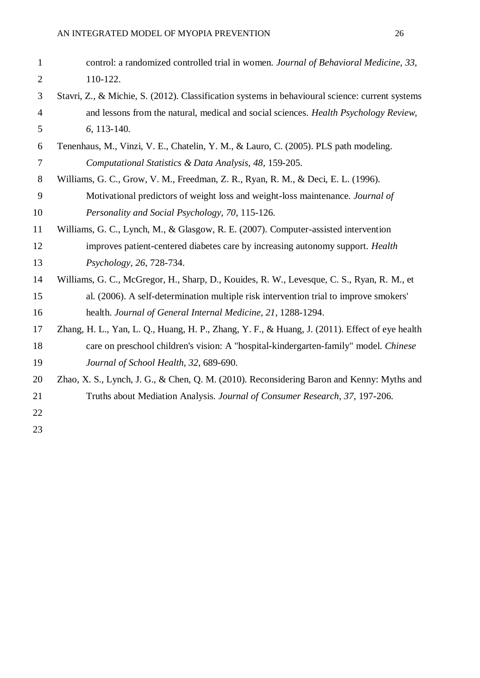<span id="page-25-6"></span><span id="page-25-5"></span><span id="page-25-4"></span><span id="page-25-3"></span><span id="page-25-2"></span><span id="page-25-1"></span><span id="page-25-0"></span>

| $\mathbf{1}$   | control: a randomized controlled trial in women. Journal of Behavioral Medicine, 33,            |
|----------------|-------------------------------------------------------------------------------------------------|
| $\overline{2}$ | 110-122.                                                                                        |
| 3              | Stavri, Z., & Michie, S. (2012). Classification systems in behavioural science: current systems |
| $\overline{4}$ | and lessons from the natural, medical and social sciences. Health Psychology Review,            |
| 5              | 6, 113-140.                                                                                     |
| 6              | Tenenhaus, M., Vinzi, V. E., Chatelin, Y. M., & Lauro, C. (2005). PLS path modeling.            |
| $\overline{7}$ | Computational Statistics & Data Analysis, 48, 159-205.                                          |
| 8              | Williams, G. C., Grow, V. M., Freedman, Z. R., Ryan, R. M., & Deci, E. L. (1996).               |
| 9              | Motivational predictors of weight loss and weight-loss maintenance. Journal of                  |
| 10             | Personality and Social Psychology, 70, 115-126.                                                 |
| 11             | Williams, G. C., Lynch, M., & Glasgow, R. E. (2007). Computer-assisted intervention             |
| 12             | improves patient-centered diabetes care by increasing autonomy support. Health                  |
| 13             | Psychology, 26, 728-734.                                                                        |
| 14             | Williams, G. C., McGregor, H., Sharp, D., Kouides, R. W., Levesque, C. S., Ryan, R. M., et      |
| 15             | al. (2006). A self-determination multiple risk intervention trial to improve smokers'           |
| 16             | health. Journal of General Internal Medicine, 21, 1288-1294.                                    |
| 17             | Zhang, H. L., Yan, L. Q., Huang, H. P., Zhang, Y. F., & Huang, J. (2011). Effect of eye health  |
| 18             | care on preschool children's vision: A "hospital-kindergarten-family" model. Chinese            |
| 19             | Journal of School Health, 32, 689-690.                                                          |
| 20             | Zhao, X. S., Lynch, J. G., & Chen, Q. M. (2010). Reconsidering Baron and Kenny: Myths and       |
| 21             | Truths about Mediation Analysis. Journal of Consumer Research, 37, 197-206.                     |
| 22             |                                                                                                 |
| 23             |                                                                                                 |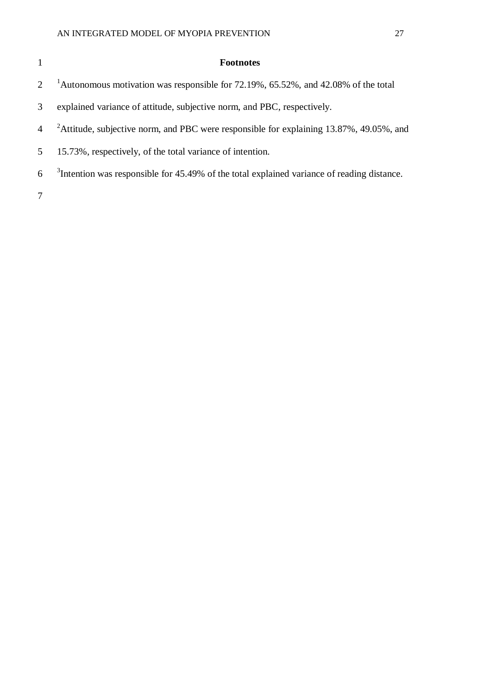|                | <b>Footnotes</b>                                                                                       |
|----------------|--------------------------------------------------------------------------------------------------------|
| 2              | <sup>1</sup> Autonomous motivation was responsible for 72.19%, 65.52%, and 42.08% of the total         |
| 3              | explained variance of attitude, subjective norm, and PBC, respectively.                                |
| $\overline{4}$ | <sup>2</sup> Attitude, subjective norm, and PBC were responsible for explaining 13.87%, 49.05%, and    |
| 5              | 15.73%, respectively, of the total variance of intention.                                              |
| 6              | <sup>3</sup> Intention was responsible for 45.49% of the total explained variance of reading distance. |
|                |                                                                                                        |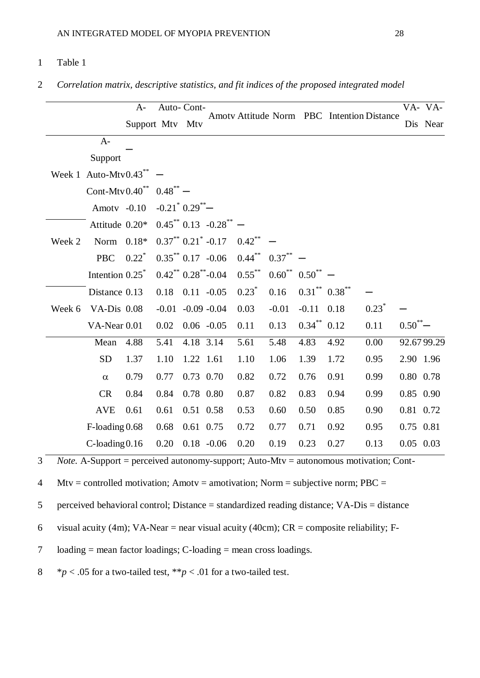# 1 Table 1

|        |                               | $A-$                |                               | Auto-Cont-  |                                            |           |                   |                     |                                            |         |             | VA- VA-    |
|--------|-------------------------------|---------------------|-------------------------------|-------------|--------------------------------------------|-----------|-------------------|---------------------|--------------------------------------------|---------|-------------|------------|
|        |                               | Support Mtv Mtv     |                               |             |                                            |           |                   |                     | Amoty Attitude Norm PBC Intention Distance |         |             | Dis Near   |
|        | $A-$                          |                     |                               |             |                                            |           |                   |                     |                                            |         |             |            |
|        | Support                       |                     |                               |             |                                            |           |                   |                     |                                            |         |             |            |
| Week 1 | Auto-Mtv $0.43$ <sup>**</sup> |                     |                               |             |                                            |           |                   |                     |                                            |         |             |            |
|        | Cont-Mtv $0.40$ <sup>**</sup> |                     | $0.48***$                     |             |                                            |           |                   |                     |                                            |         |             |            |
|        | Amoty -0.10                   |                     | $-0.21^*$ 0.29 <sup>**</sup>  |             |                                            |           |                   |                     |                                            |         |             |            |
|        | Attitude 0.20*                |                     |                               |             | $0.45^{\ast\ast}$ 0.13 -0.28 <sup>**</sup> |           |                   |                     |                                            |         |             |            |
| Week 2 | Norm                          | $0.18*$             | $0.37** 0.21* -0.17$          |             |                                            | $0.42***$ |                   |                     |                                            |         |             |            |
|        | <b>PBC</b>                    | $0.22$ <sup>*</sup> | $0.35***0.17 -0.06$           |             |                                            | $0.44***$ | $0.37^{\ast\ast}$ |                     |                                            |         |             |            |
|        | Intention $0.25$ <sup>*</sup> |                     | $0.42^{**}$ $0.28^{**}$ -0.04 |             |                                            | $0.55***$ | $0.60***$         | $0.50***$           |                                            |         |             |            |
|        | Distance 0.13                 |                     | 0.18                          |             | $0.11 - 0.05$                              | $0.23*$   | 0.16              | $0.31***$ $0.38***$ |                                            |         |             |            |
| Week 6 | VA-Dis 0.08                   |                     | $-0.01 - 0.09 - 0.04$         |             |                                            | 0.03      | $-0.01$           | $-0.11$             | 0.18                                       | $0.23*$ |             |            |
|        | VA-Near 0.01                  |                     | 0.02                          |             | $0.06 - 0.05$                              | 0.11      | 0.13              | $0.34^{**}$ 0.12    |                                            | 0.11    | $0.50^{**}$ |            |
|        | Mean                          | 4.88                | 5.41                          | 4.18 3.14   |                                            | 5.61      | 5.48              | 4.83                | 4.92                                       | 0.00    |             | 92.6799.29 |
|        | <b>SD</b>                     | 1.37                | 1.10                          | 1.22 1.61   |                                            | 1.10      | 1.06              | 1.39                | 1.72                                       | 0.95    | 2.90 1.96   |            |
|        | $\alpha$                      | 0.79                | 0.77                          | 0.73 0.70   |                                            | 0.82      | 0.72              | 0.76                | 0.91                                       | 0.99    | 0.80 0.78   |            |
|        | <b>CR</b>                     | 0.84                | 0.84                          | 0.78 0.80   |                                            | 0.87      | 0.82              | 0.83                | 0.94                                       | 0.99    | 0.85 0.90   |            |
|        | <b>AVE</b>                    | 0.61                | 0.61                          | 0.51 0.58   |                                            | 0.53      | 0.60              | 0.50                | 0.85                                       | 0.90    | 0.81 0.72   |            |
|        | F-loading 0.68                |                     | 0.68                          | $0.61$ 0.75 |                                            | 0.72      | 0.77              | 0.71                | 0.92                                       | 0.95    | 0.75 0.81   |            |
|        | $C$ -loading $0.16$           |                     | 0.20                          |             | $0.18 - 0.06$                              | 0.20      | 0.19              | 0.23                | 0.27                                       | 0.13    | $0.05$ 0.03 |            |
|        |                               |                     |                               |             |                                            |           |                   |                     |                                            |         |             |            |

|  |  | 2 Correlation matrix, descriptive statistics, and fit indices of the proposed integrated model |  |  |  |
|--|--|------------------------------------------------------------------------------------------------|--|--|--|
|--|--|------------------------------------------------------------------------------------------------|--|--|--|

3 *Note.* A-Support = perceived autonomy-support; Auto-Mtv = autonomous motivation; Cont-

4 Mtv = controlled motivation; Amoty = amotivation; Norm = subjective norm;  $PBC =$ 

5 perceived behavioral control; Distance = standardized reading distance; VA-Dis = distance

6 visual acuity (4m); VA-Near = near visual acuity (40cm);  $CR =$  composite reliability; F-

 $7$  loading = mean factor loadings; C-loading = mean cross loadings.

8  $* p < .05$  for a two-tailed test,  $* p < .01$  for a two-tailed test.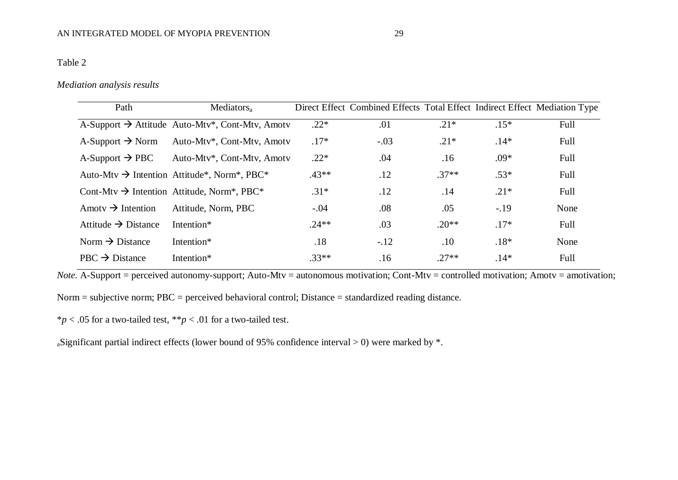# Table 2

# *Mediation analysis results*

| Path                            | Mediators <sub>a</sub>                                                                        |         | Direct Effect Combined Effects Total Effect Indirect Effect Mediation Type |         |        |      |
|---------------------------------|-----------------------------------------------------------------------------------------------|---------|----------------------------------------------------------------------------|---------|--------|------|
|                                 | A-Support $\rightarrow$ Attitude Auto-Mtv <sup>*</sup> , Cont-Mtv, Amotv                      | $.22*$  | .01                                                                        | $.21*$  | $.15*$ | Full |
| A-Support $\rightarrow$ Norm    | Auto-Mtv <sup>*</sup> , Cont-Mtv, Amoty                                                       | $.17*$  | $-.03$                                                                     | $.21*$  | $.14*$ | Full |
| A-Support $\rightarrow$ PBC     | Auto-Mtv*, Cont-Mtv, Amoty                                                                    | $.22*$  | .04                                                                        | .16     | $.09*$ | Full |
|                                 | Auto-Mtv $\rightarrow$ Intention Attitude <sup>*</sup> , Norm <sup>*</sup> , PBC <sup>*</sup> | $.43**$ | .12                                                                        | $.37**$ | $.53*$ | Full |
|                                 | Cont-Mtv $\rightarrow$ Intention Attitude, Norm <sup>*</sup> , PBC <sup>*</sup>               | $.31*$  | .12                                                                        | .14     | $.21*$ | Full |
| Amoty $\rightarrow$ Intention   | Attitude, Norm, PBC                                                                           | $-.04$  | .08                                                                        | .05     | $-.19$ | None |
| Attitude $\rightarrow$ Distance | Intention*                                                                                    | $.24**$ | .03                                                                        | $.20**$ | $.17*$ | Full |
| Norm $\rightarrow$ Distance     | Intention*                                                                                    | .18     | $-.12$                                                                     | .10     | $.18*$ | None |
| $PBC \rightarrow Distance$      | Intention*                                                                                    | $.33**$ | .16                                                                        | $27**$  | $.14*$ | Full |

*Note*. A-Support = perceived autonomy-support; Auto-Mtv = autonomous motivation; Cont-Mtv = controlled motivation; Amotv = amotivation;

Norm = subjective norm; PBC = perceived behavioral control; Distance = standardized reading distance.

 $*p < .05$  for a two-tailed test,  $**p < .01$  for a two-tailed test.

aSignificant partial indirect effects (lower bound of 95% confidence interval  $> 0$ ) were marked by  $*$ .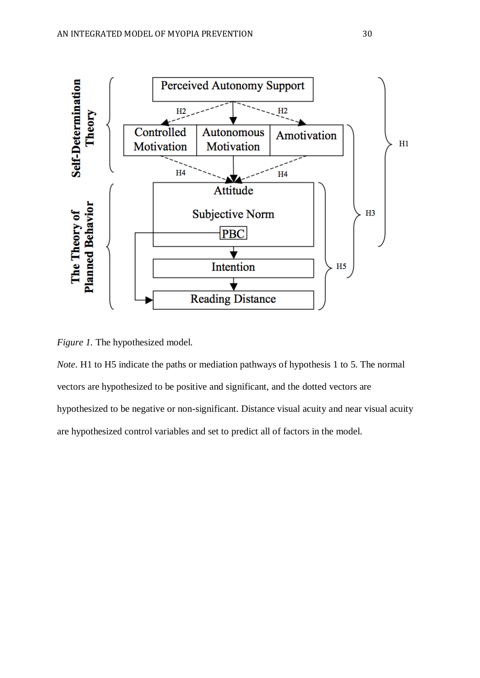

*Figure 1.* The hypothesized model.

*Note*. H1 to H5 indicate the paths or mediation pathways of hypothesis 1 to 5. The normal vectors are hypothesized to be positive and significant, and the dotted vectors are hypothesized to be negative or non-significant. Distance visual acuity and near visual acuity are hypothesized control variables and set to predict all of factors in the model.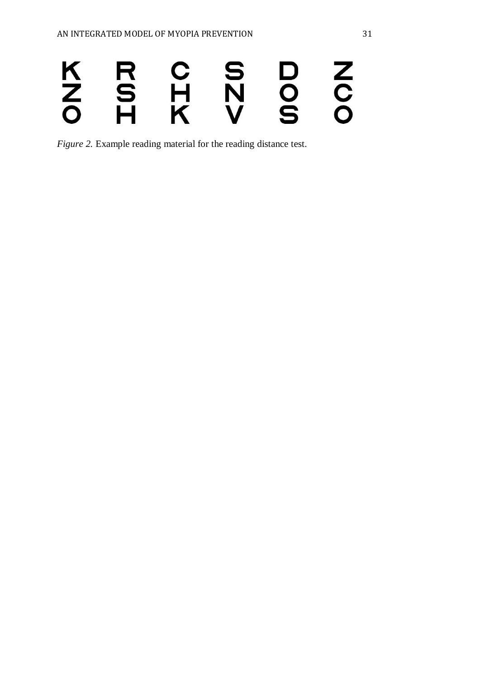#### K<br>Z<br>O **NOO** DOQ C S R  $\breve{\mathsf{H}}$  $\ddot{\mathbf{s}}$

*Figure 2.* Example reading material for the reading distance test.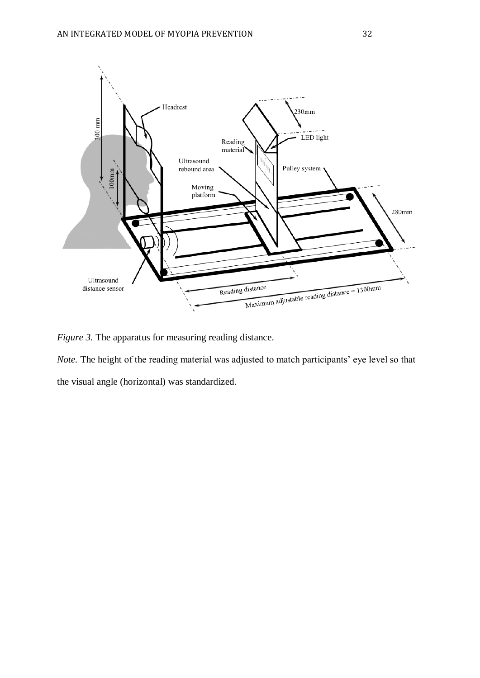

*Figure 3.* The apparatus for measuring reading distance.

*Note.* The height of the reading material was adjusted to match participants' eye level so that the visual angle (horizontal) was standardized.